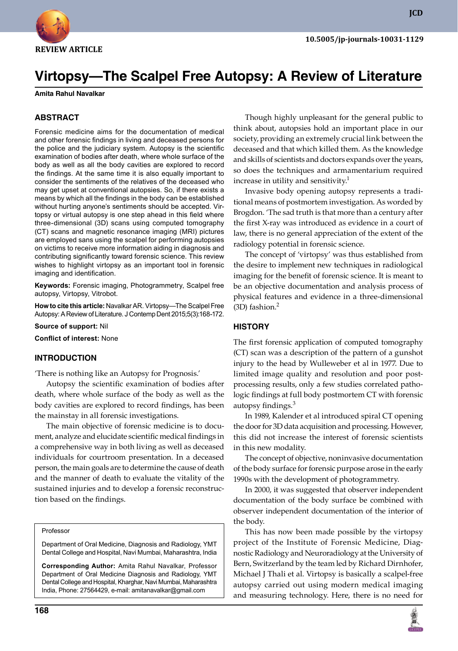

**JCD**

# **Virtopsy—The Scalpel Free Autopsy: A Review of Literature**

#### **Amita Rahul Navalkar**

#### **ABSTRACT**

Forensic medicine aims for the documentation of medical and other forensic findings in living and deceased persons for the police and the judiciary system. Autopsy is the scientific examination of bodies after death, where whole surface of the body as well as all the body cavities are explored to record the findings. At the same time it is also equally important to consider the sentiments of the relatives of the deceased who may get upset at conventional autopsies. So, if there exists a means by which all the findings in the body can be established without hurting anyone's sentiments should be accepted. Virtopsy or virtual autopsy is one step ahead in this field where three-dimensional (3D) scans using computed tomography (CT) scans and magnetic resonance imaging (MRI) pictures are employed sans using the scalpel for performing autopsies on victims to receive more information aiding in diagnosis and contributing significantly toward forensic science. This review wishes to highlight virtopsy as an important tool in forensic imaging and identification.

**Keywords:** Forensic imaging, Photogrammetry, Scalpel free autopsy, Virtopsy, Vitrobot.

**How to cite this article:** Navalkar AR. Virtopsy—The Scalpel Free Autopsy: A Review of Literature. J Contemp Dent 2015;5(3):168-172.

**Source of support:** Nil

**Conflict of interest:** None

#### **Introduction**

'There is nothing like an Autopsy for Prognosis.'

 Autopsy the scientific examination of bodies after death, where whole surface of the body as well as the body cavities are explored to record findings, has been the mainstay in all forensic investigations.

 The main objective of forensic medicine is to document, analyze and elucidate scientific medical findings in a comprehensive way in both living as well as deceased individuals for courtroom presentation. In a deceased person, the main goals are to determine the cause of death and the manner of death to evaluate the vitality of the sustained injuries and to develop a forensic reconstruction based on the findings.

#### Professor

Department of Oral Medicine, Diagnosis and Radiology, YMT Dental College and Hospital, Navi Mumbai, Maharashtra, India

**Corresponding Author:** Amita Rahul Navalkar, Professor Department of Oral Medicine Diagnosis and Radiology, YMT Dental College and Hospital, Kharghar, Navi Mumbai, Maharashtra India, Phone: 27564429, e-mail: amitanavalkar@gmail.com

 Though highly unpleasant for the general public to think about, autopsies hold an important place in our society, providing an extremely crucial link between the deceased and that which killed them. As the knowledge and skills of scientists and doctors expands over the years, so does the techniques and armamentarium required increase in utility and sensitivity. $1$ 

 Invasive body opening autopsy represents a traditional means of postmortem investigation. As worded by Brogdon. 'The sad truth is that more than a century after the first X-ray was introduced as evidence in a court of law, there is no general appreciation of the extent of the radiology potential in forensic science.

 The concept of 'virtopsy' was thus established from the desire to implement new techniques in radiological imaging for the benefit of forensic science. It is meant to be an objective documentation and analysis process of physical features and evidence in a three-dimensional  $(3D)$  fashion.<sup>2</sup>

#### **History**

The first forensic application of computed tomography (CT) scan was a description of the pattern of a gunshot injury to the head by Wulleweber et al in 1977. Due to limited image quality and resolution and poor postprocessing results, only a few studies correlated pathologic findings at full body postmortem CT with forensic autopsy findings.<sup>3</sup>

 In 1989, Kalender et al introduced spiral CT opening the door for 3D data acquisition and processing. However, this did not increase the interest of forensic scientists in this new modality.

 The concept of objective, noninvasive documentation of the body surface for forensic purpose arose in the early 1990s with the development of photogrammetry.

 In 2000, it was suggested that observer independent documentation of the body surface be combined with observer independent documentation of the interior of the body.

 This has now been made possible by the virtopsy project of the Institute of Forensic Medicine, Diagnostic Radiology and Neuroradiology at the University of Bern, Switzerland by the team led by Richard Dirnhofer, Michael J Thali et al. Virtopsy is basically a scalpel-free autopsy carried out using modern medical imaging and measuring technology. Here, there is no need for

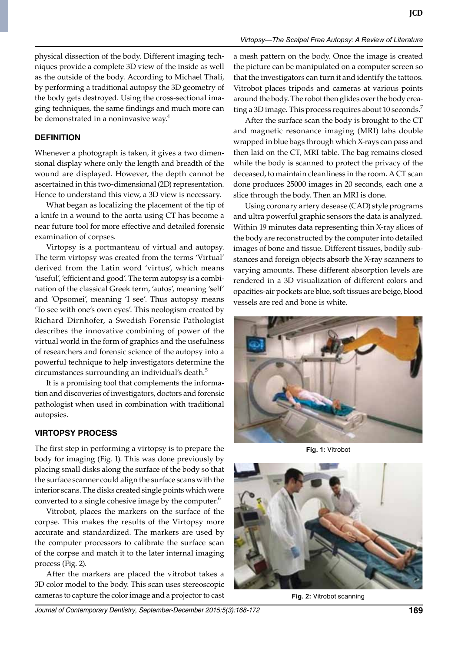physical dissection of the body. Different imaging techniques provide a complete 3D view of the inside as well as the outside of the body. According to Michael Thali, by performing a traditional autopsy the 3D geometry of the body gets destroyed. Using the cross-sectional imaging techniques, the same findings and much more can be demonstrated in a noninvasive way.<sup>4</sup>

## **Definition**

Whenever a photograph is taken, it gives a two dimensional display where only the length and breadth of the wound are displayed. However, the depth cannot be ascertained in this two-dimensional (2D) representation. Hence to understand this view, a 3D view is necessary.

 What began as localizing the placement of the tip of a knife in a wound to the aorta using CT has become a near future tool for more effective and detailed forensic examination of corpses.

 Virtopsy is a portmanteau of virtual and autopsy. The term virtopsy was created from the terms 'Virtual' derived from the Latin word 'virtus', which means 'useful', 'efficient and good'. The term autopsy is a combination of the classical Greek term, 'autos', meaning 'self' and 'Opsomei', meaning 'I see'. Thus autopsy means 'To see with one's own eyes'. This neologism created by Richard Dirnhofer, a Swedish Forensic Pathologist describes the innovative combining of power of the virtual world in the form of graphics and the usefulness of researchers and forensic science of the autopsy into a powerful technique to help investigators determine the circumstances surrounding an individual's death.<sup>5</sup>

 It is a promising tool that complements the information and discoveries of investigators, doctors and forensic pathologist when used in combination with traditional autopsies.

## **Virtopsy process**

The first step in performing a virtopsy is to prepare the body for imaging (Fig. 1). This was done previously by placing small disks along the surface of the body so that the surface scanner could align the surface scans with the interior scans. The disks created single points which were converted to a single cohesive image by the computer.<sup>6</sup>

 Vitrobot, places the markers on the surface of the corpse. This makes the results of the Virtopsy more accurate and standardized. The markers are used by the computer processors to calibrate the surface scan of the corpse and match it to the later internal imaging process (Fig. 2).

 After the markers are placed the vitrobot takes a 3D color model to the body. This scan uses stereoscopic cameras to capture the color image and a projector to cast a mesh pattern on the body. Once the image is created the picture can be manipulated on a computer screen so that the investigators can turn it and identify the tattoos. Vitrobot places tripods and cameras at various points around the body. The robot then glides over the body creating a 3D image. This process requires about 10 seconds.<sup>7</sup>

 After the surface scan the body is brought to the CT and magnetic resonance imaging (MRI) labs double wrapped in blue bags through which x-rays can pass and then laid on the CT, MRI table. The bag remains closed while the body is scanned to protect the privacy of the deceased, to maintain cleanliness in the room. A CT scan done produces 25000 images in 20 seconds, each one a slice through the body. Then an MRI is done.

 Using coronary artery desease (CAD) style programs and ultra powerful graphic sensors the data is analyzed. Within 19 minutes data representing thin X-ray slices of the body are reconstructed by the computer into detailed images of bone and tissue. Different tissues, bodily substances and foreign objects absorb the X-ray scanners to varying amounts. These different absorption levels are rendered in a 3D visualization of different colors and opacities-air pockets are blue, soft tissues are beige, blood vessels are red and bone is white.



**Fig. 1:** Vitrobot



**Fig. 2:** Vitrobot scanning

*Journal of Contemporary Dentistry, September-December 2015;5(3):168-172* **169**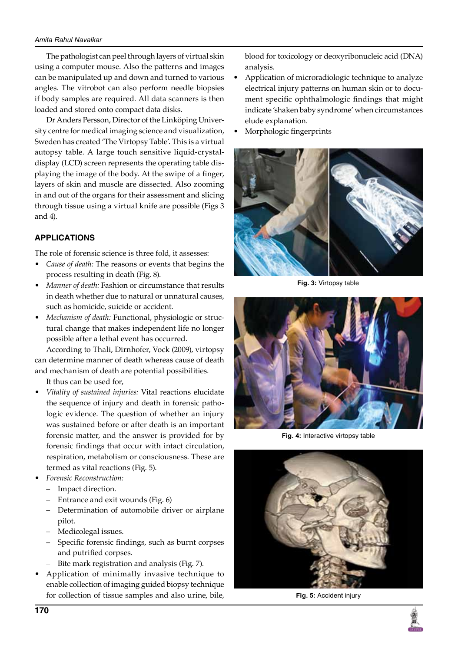#### *Amita Rahul Navalkar*

The pathologist can peel through layers of virtual skin using a computer mouse. Also the patterns and images can be manipulated up and down and turned to various angles. The vitrobot can also perform needle biopsies if body samples are required. All data scanners is then loaded and stored onto compact data disks.

 Dr Anders Persson, Director of the Linköping University centre for medical imaging science and visualization, Sweden has created 'The Virtopsy Table'. This is a virtual autopsy table. A large touch sensitive liquid-crystaldisplay (LCD) screen represents the operating table displaying the image of the body. At the swipe of a finger, layers of skin and muscle are dissected. Also zooming in and out of the organs for their assessment and slicing through tissue using a virtual knife are possible (Figs 3 and 4).

# **Applications**

The role of forensic science is three fold, it assesses:

- *Cause of death:* The reasons or events that begins the process resulting in death (Fig. 8).
- *Manner of death: Fashion or circumstance that results* in death whether due to natural or unnatural causes, such as homicide, suicide or accident.
- *Mechanism of death: Functional, physiologic or struc*tural change that makes independent life no longer possible after a lethal event has occurred.

According to Thali, Dirnhofer, Vock (2009), virtopsy can determine manner of death whereas cause of death and mechanism of death are potential possibilities.

 It thus can be used for,

- Vitality of sustained injuries: Vital reactions elucidate the sequence of injury and death in forensic pathologic evidence. The question of whether an injury was sustained before or after death is an important forensic matter, and the answer is provided for by forensic findings that occur with intact circulation, respiration, metabolism or consciousness. These are termed as vital reactions (Fig. 5).
- **Forensic Reconstruction:** 
	- – Impact direction.
	- Entrance and exit wounds (Fig. 6)
	- – Determination of automobile driver or airplane pilot.
	- – Medicolegal issues.
	- – Specific forensic findings, such as burnt corpses and putrified corpses.
	- Bite mark registration and analysis (Fig. 7).
- Application of minimally invasive technique to enable collection of imaging guided biopsy technique for collection of tissue samples and also urine, bile,

blood for toxicology or deoxyribonucleic acid (DNA) analysis.

- Application of microradiologic technique to analyze electrical injury patterns on human skin or to document specific ophthalmologic findings that might indicate 'shaken baby syndrome' when circumstances elude explanation.
- Morphologic fingerprints



**Fig. 3:** Virtopsy table



**Fig. 4:** Interactive virtopsy table



**Fig. 5:** Accident injury

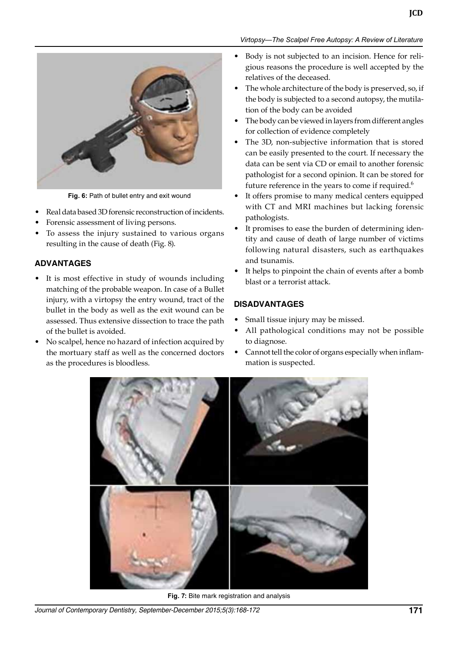

**Fig. 6:** Path of bullet entry and exit wound

- Real data based 3D forensic reconstruction of incidents.
- Forensic assessment of living persons.
- To assess the injury sustained to various organs resulting in the cause of death (Fig. 8).

# **Advantages**

- It is most effective in study of wounds including matching of the probable weapon. In case of a Bullet injury, with a virtopsy the entry wound, tract of the bullet in the body as well as the exit wound can be assessed. Thus extensive dissection to trace the path of the bullet is avoided.
- No scalpel, hence no hazard of infection acquired by the mortuary staff as well as the concerned doctors as the procedures is bloodless.

## *Virtopsy—The Scalpel Free Autopsy: A Review of Literature*

- Body is not subjected to an incision. Hence for religious reasons the procedure is well accepted by the relatives of the deceased.
- The whole architecture of the body is preserved, so, if the body is subjected to a second autopsy, the mutilation of the body can be avoided
- The body can be viewed in layers from different angles for collection of evidence completely
- The 3D, non-subjective information that is stored can be easily presented to the court. If necessary the data can be sent via CD or email to another forensic pathologist for a second opinion. It can be stored for future reference in the years to come if required.<sup>6</sup>
- • It offers promise to many medical centers equipped with CT and MRI machines but lacking forensic pathologists.
- It promises to ease the burden of determining identity and cause of death of large number of victims following natural disasters, such as earthquakes and tsunamis.
- It helps to pinpoint the chain of events after a bomb blast or a terrorist attack.

## **Disadvantages**

- Small tissue injury may be missed.
- All pathological conditions may not be possible to diagnose.
- $\bullet$  Cannot tell the color of organs especially when inflammation is suspected.



**Fig. 7:** Bite mark registration and analysis